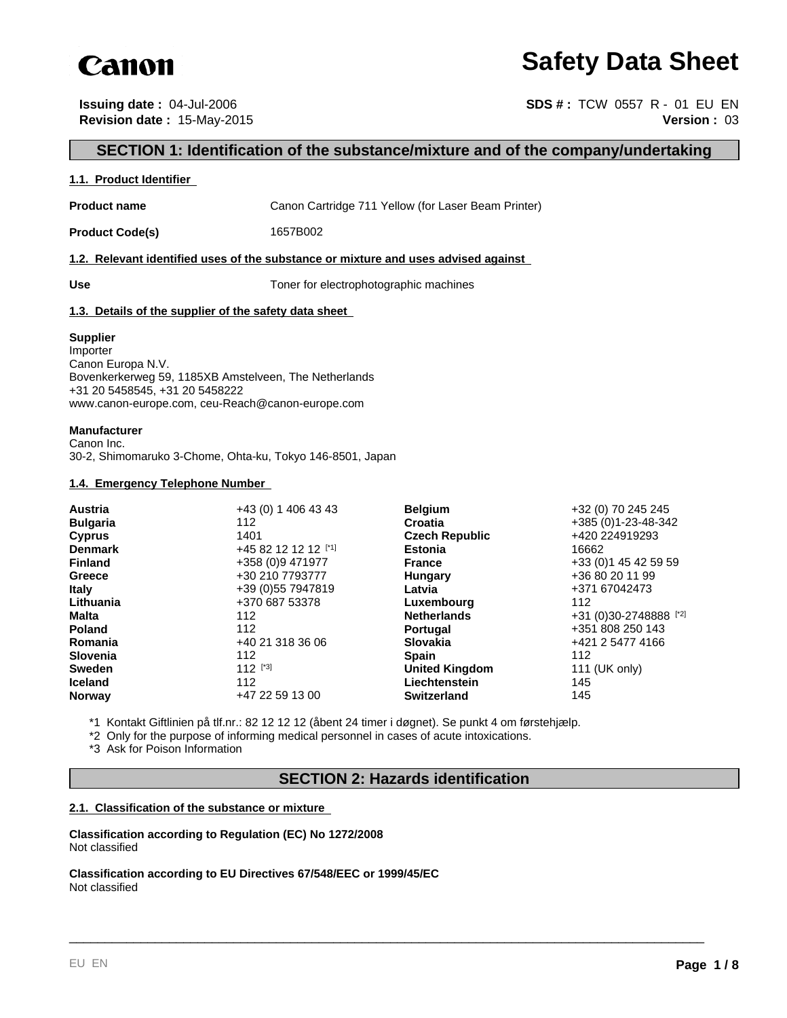

# **Safety Data Sheet**

**Issuing date :** 04-Jul-2006 **SDS # : TCW 0557 R - 01 EU EN Revision date :** 15-May-2015 **Version :** 03

# **SECTION 1: Identification of the substance/mixture and of the company/undertaking**

### **1.1. Product Identifier**

**Product name** Canon Cartridge 711 Yellow (for Laser Beam Printer)

**Product Code(s)** 1657B002

#### **1.2. Relevant identified uses of the substance or mixture and uses advised against**

**Use** Toner for electrophotographic machines

# **1.3. Details of the supplier of the safety data sheet**

#### **Supplier**

Importer Canon Europa N.V. Bovenkerkerweg 59, 1185XB Amstelveen, The Netherlands +31 20 5458545, +31 20 5458222 www.canon-europe.com, ceu-Reach@canon-europe.com

# **Manufacturer**

Canon Inc. 30-2, Shimomaruko 3-Chome, Ohta-ku, Tokyo 146-8501, Japan

#### **1.4. Emergency Telephone Number**

| +43 (0) 1 406 43 43  |               | +32 (0) 70 245 245                                                                                                                                                                                                                        |
|----------------------|---------------|-------------------------------------------------------------------------------------------------------------------------------------------------------------------------------------------------------------------------------------------|
| 112                  |               | +385 (0) 1-23-48-342                                                                                                                                                                                                                      |
| 1401                 |               | +420 224919293                                                                                                                                                                                                                            |
| +45 82 12 12 12 [*1] |               | 16662                                                                                                                                                                                                                                     |
| +358 (0)9 471977     |               | +33 (0) 1 45 42 59 59                                                                                                                                                                                                                     |
| +30 210 7793777      |               | +36 80 20 11 99                                                                                                                                                                                                                           |
| +39 (0) 55 7947819   | Latvia        | +371 67042473                                                                                                                                                                                                                             |
| +370 687 53378       |               | 112                                                                                                                                                                                                                                       |
| 112                  |               | +31 (0)30-2748888 [*2]                                                                                                                                                                                                                    |
| 112                  |               | +351 808 250 143                                                                                                                                                                                                                          |
| +40 21 318 36 06     |               | +421 2 5477 4166                                                                                                                                                                                                                          |
| 112                  |               | 112                                                                                                                                                                                                                                       |
| $112$ [*3]           |               | 111 (UK only)                                                                                                                                                                                                                             |
| 112                  | Liechtenstein | 145                                                                                                                                                                                                                                       |
| +47 22 59 13 00      |               | 145                                                                                                                                                                                                                                       |
|                      |               | <b>Belgium</b><br>Croatia<br><b>Czech Republic</b><br><b>Estonia</b><br><b>France</b><br>Hungary<br>Luxembourg<br><b>Netherlands</b><br><b>Portugal</b><br><b>Slovakia</b><br><b>Spain</b><br><b>United Kingdom</b><br><b>Switzerland</b> |

\*1 Kontakt Giftlinien på tlf.nr.: 82 12 12 12 (åbent 24 timer i døgnet). Se punkt 4 om førstehjælp.

\*2 Only for the purpose of informing medical personnel in cases of acute intoxications.

\*3 Ask for Poison Information

# **SECTION 2: Hazards identification**

\_\_\_\_\_\_\_\_\_\_\_\_\_\_\_\_\_\_\_\_\_\_\_\_\_\_\_\_\_\_\_\_\_\_\_\_\_\_\_\_\_\_\_\_\_\_\_\_\_\_\_\_\_\_\_\_\_\_\_\_\_\_\_\_\_\_\_\_\_\_\_\_\_\_\_\_\_\_\_\_\_\_\_\_\_\_\_\_\_

# **2.1. Classification of the substance or mixture**

**Classification according to Regulation (EC) No 1272/2008** Not classified

**Classification according to EU Directives 67/548/EEC or 1999/45/EC** Not classified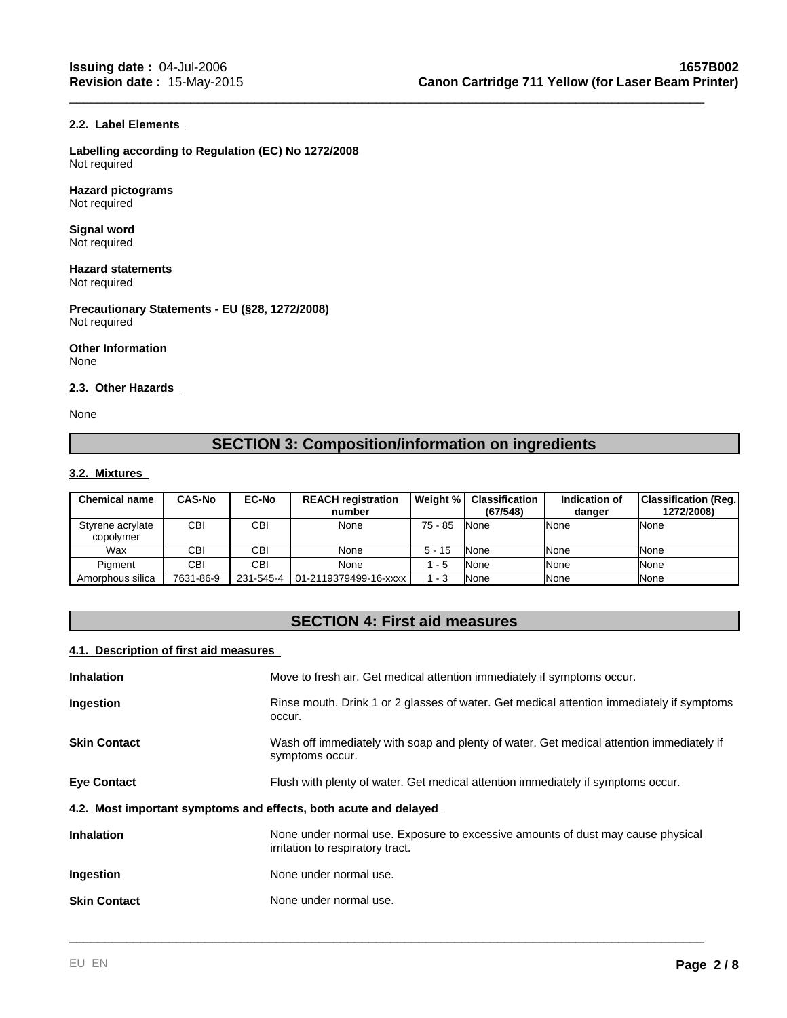# **2.2. Label Elements**

**Labelling according to Regulation (EC) No 1272/2008** Not required

**Hazard pictograms** Not required

**Signal word** Not required

**Hazard statements** Not required

**Precautionary Statements - EU (§28, 1272/2008)** Not required

**Other Information** None

# **2.3. Other Hazards**

None

# **SECTION 3: Composition/information on ingredients**

\_\_\_\_\_\_\_\_\_\_\_\_\_\_\_\_\_\_\_\_\_\_\_\_\_\_\_\_\_\_\_\_\_\_\_\_\_\_\_\_\_\_\_\_\_\_\_\_\_\_\_\_\_\_\_\_\_\_\_\_\_\_\_\_\_\_\_\_\_\_\_\_\_\_\_\_\_\_\_\_\_\_\_\_\_\_\_\_\_

# **3.2. Mixtures**

| <b>Chemical name</b>          | <b>CAS-No</b> | <b>EC-No</b> | <b>REACH registration</b><br>number | Weight %  | Classification<br>(67/548) | Indication of<br>danger | Classification (Reg.)<br>1272/2008) |
|-------------------------------|---------------|--------------|-------------------------------------|-----------|----------------------------|-------------------------|-------------------------------------|
| Styrene acrylate<br>copolymer | CBI           | CBI          | None                                | $75 - 85$ | <b>None</b>                | <b>INone</b>            | None                                |
| Wax                           | CBI           | <b>CBI</b>   | None                                | $5 - 15$  | <b>None</b>                | <b>I</b> None           | None                                |
| Piament                       | CBI           | CBI          | None                                | - 5       | None                       | <b>I</b> None           | None                                |
| Amorphous silica              | 7631-86-9     |              | 231-545-4   01-2119379499-16-xxxx   | 1 - 3     | None                       | <b>I</b> None           | None                                |

# **SECTION 4: First aid measures**

# **4.1. Description of first aid measures**

| Inhalation                                                       | Move to fresh air. Get medical attention immediately if symptoms occur.                                             |
|------------------------------------------------------------------|---------------------------------------------------------------------------------------------------------------------|
| Ingestion                                                        | Rinse mouth. Drink 1 or 2 glasses of water. Get medical attention immediately if symptoms<br>occur.                 |
| <b>Skin Contact</b>                                              | Wash off immediately with soap and plenty of water. Get medical attention immediately if<br>symptoms occur.         |
| <b>Eye Contact</b>                                               | Flush with plenty of water. Get medical attention immediately if symptoms occur.                                    |
| 4.2. Most important symptoms and effects, both acute and delayed |                                                                                                                     |
| <b>Inhalation</b>                                                | None under normal use. Exposure to excessive amounts of dust may cause physical<br>irritation to respiratory tract. |
| Ingestion                                                        | None under normal use.                                                                                              |
| <b>Skin Contact</b>                                              | None under normal use.                                                                                              |
|                                                                  |                                                                                                                     |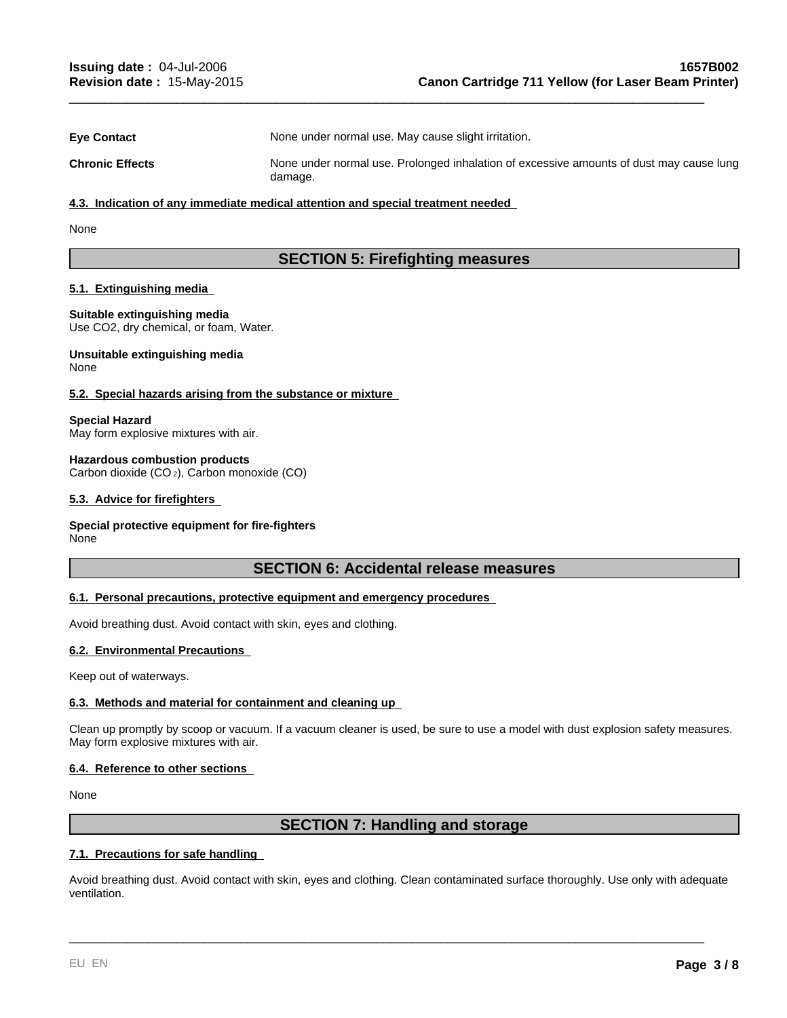| <b>Eve Contact</b>     | None under normal use. May cause slight irritation.                                                |
|------------------------|----------------------------------------------------------------------------------------------------|
| <b>Chronic Effects</b> | None under normal use. Prolonged inhalation of excessive amounts of dust may cause lung<br>damage. |

\_\_\_\_\_\_\_\_\_\_\_\_\_\_\_\_\_\_\_\_\_\_\_\_\_\_\_\_\_\_\_\_\_\_\_\_\_\_\_\_\_\_\_\_\_\_\_\_\_\_\_\_\_\_\_\_\_\_\_\_\_\_\_\_\_\_\_\_\_\_\_\_\_\_\_\_\_\_\_\_\_\_\_\_\_\_\_\_\_

#### **4.3. Indication of any immediate medical attention and special treatment needed**

None

# **SECTION 5: Firefighting measures**

### **5.1. Extinguishing media**

**Suitable extinguishing media** Use CO2, dry chemical, or foam, Water.

#### **Unsuitable extinguishing media** None

# **5.2. Special hazards arising from the substance or mixture**

**Special Hazard**

May form explosive mixtures with air.

#### **Hazardous combustion products**

Carbon dioxide (CO 2), Carbon monoxide (CO)

#### **5.3. Advice for firefighters**

# **Special protective equipment for fire-fighters**

None

# **SECTION 6: Accidental release measures**

# **6.1. Personal precautions, protective equipment and emergency procedures**

Avoid breathing dust. Avoid contact with skin, eyes and clothing.

# **6.2. Environmental Precautions**

Keep out of waterways.

# **6.3. Methods and material for containment and cleaning up**

Clean up promptly by scoop or vacuum. If a vacuum cleaner is used, be sure to use a model with dust explosion safety measures. May form explosive mixtures with air.

# **6.4. Reference to other sections**

None

# **SECTION 7: Handling and storage**

# **7.1. Precautions for safe handling**

Avoid breathing dust. Avoid contact with skin, eyes and clothing. Clean contaminated surface thoroughly. Use only with adequate ventilation.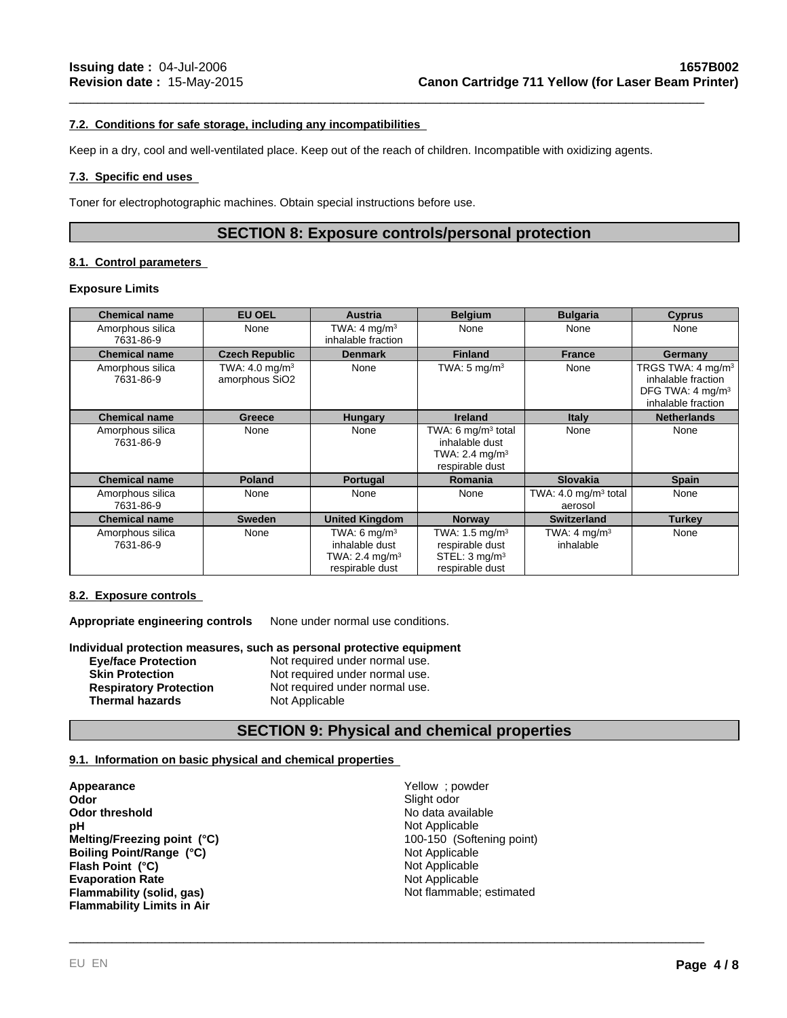# **7.2. Conditions for safe storage, including any incompatibilities**

Keep in a dry, cool and well-ventilated place. Keep out of the reach of children. Incompatible with oxidizing agents.

# **7.3. Specific end uses**

Toner for electrophotographic machines. Obtain special instructions before use.

# **SECTION 8: Exposure controls/personal protection**

\_\_\_\_\_\_\_\_\_\_\_\_\_\_\_\_\_\_\_\_\_\_\_\_\_\_\_\_\_\_\_\_\_\_\_\_\_\_\_\_\_\_\_\_\_\_\_\_\_\_\_\_\_\_\_\_\_\_\_\_\_\_\_\_\_\_\_\_\_\_\_\_\_\_\_\_\_\_\_\_\_\_\_\_\_\_\_\_\_

# **8.1. Control parameters**

#### **Exposure Limits**

| <b>Chemical name</b>          | <b>EU OEL</b>                               | Austria                                                                          | <b>Belgium</b>                                                                               | <b>Bulgaria</b>                            | Cyprus                                                                                                    |
|-------------------------------|---------------------------------------------|----------------------------------------------------------------------------------|----------------------------------------------------------------------------------------------|--------------------------------------------|-----------------------------------------------------------------------------------------------------------|
| Amorphous silica<br>7631-86-9 | None                                        | TWA: $4 \text{ mg/m}^3$<br>inhalable fraction                                    | None                                                                                         | None                                       | None                                                                                                      |
| <b>Chemical name</b>          | <b>Czech Republic</b>                       | <b>Denmark</b>                                                                   | <b>Finland</b>                                                                               | <b>France</b>                              | Germany                                                                                                   |
| Amorphous silica<br>7631-86-9 | TWA: $4.0 \text{ mg/m}^3$<br>amorphous SiO2 | None                                                                             | TWA: $5 \text{ mg/m}^3$                                                                      | None                                       | TRGS TWA: 4 mg/m <sup>3</sup><br>inhalable fraction<br>DFG TWA: 4 mg/m <sup>3</sup><br>inhalable fraction |
| <b>Chemical name</b>          | Greece                                      | <b>Hungary</b>                                                                   | <b>Ireland</b>                                                                               | <b>Italy</b>                               | <b>Netherlands</b>                                                                                        |
| Amorphous silica<br>7631-86-9 | None                                        | None                                                                             | TWA: 6 $mq/m3$ total<br>inhalable dust<br>TWA: 2.4 mg/m <sup>3</sup><br>respirable dust      | None                                       | None                                                                                                      |
| <b>Chemical name</b>          | <b>Poland</b>                               | <b>Portugal</b>                                                                  | <b>Romania</b>                                                                               | <b>Slovakia</b>                            | <b>Spain</b>                                                                                              |
| Amorphous silica<br>7631-86-9 | None                                        | None                                                                             | None                                                                                         | TWA: $4.0 \text{ mg/m}^3$ total<br>aerosol | None                                                                                                      |
| <b>Chemical name</b>          | <b>Sweden</b>                               | <b>United Kingdom</b>                                                            | <b>Norway</b>                                                                                | <b>Switzerland</b>                         | <b>Turkey</b>                                                                                             |
| Amorphous silica<br>7631-86-9 | None                                        | TWA: 6 $mq/m3$<br>inhalable dust<br>TWA: $2.4 \text{ mg/m}^3$<br>respirable dust | TWA: $1.5 \text{ mg/m}^3$<br>respirable dust<br>STEL: 3 mg/m <sup>3</sup><br>respirable dust | TWA: $4 \text{ mg/m}^3$<br>inhalable       | None                                                                                                      |

# **8.2. Exposure controls**

**Appropriate engineering controls** None under normal use conditions.

#### **Individual protection measures, such as personal protective equipment**

| <b>Eye/face Protection</b>    | Not required under normal use. |
|-------------------------------|--------------------------------|
| <b>Skin Protection</b>        | Not required under normal use. |
| <b>Respiratory Protection</b> | Not required under normal use. |
| <b>Thermal hazards</b>        | Not Applicable                 |

# **SECTION 9: Physical and chemical properties**

# **9.1. Information on basic physical and chemical properties**

**Appearance Appearance Vellow** ; powder **Odor Yellow** ; powder **Odor Odor** Slight odor<br> **Odor** threshold **Slight odor**<br> **Odor threshold Slight odor Odor threshold**<br> **PH**<br>
No data available<br> **PH**<br>
Not Applicable **Evaporation Rate** Not Applicable **Flammability (solid, gas)** Not flammable; estimated **Flammability Limits in Air Melting/Freezing point (°C) Boiling Point/Range (°C) Flash Point (°C)** Not Applicable

Not Applicable<br>100-150 (Softening point) Not Applicable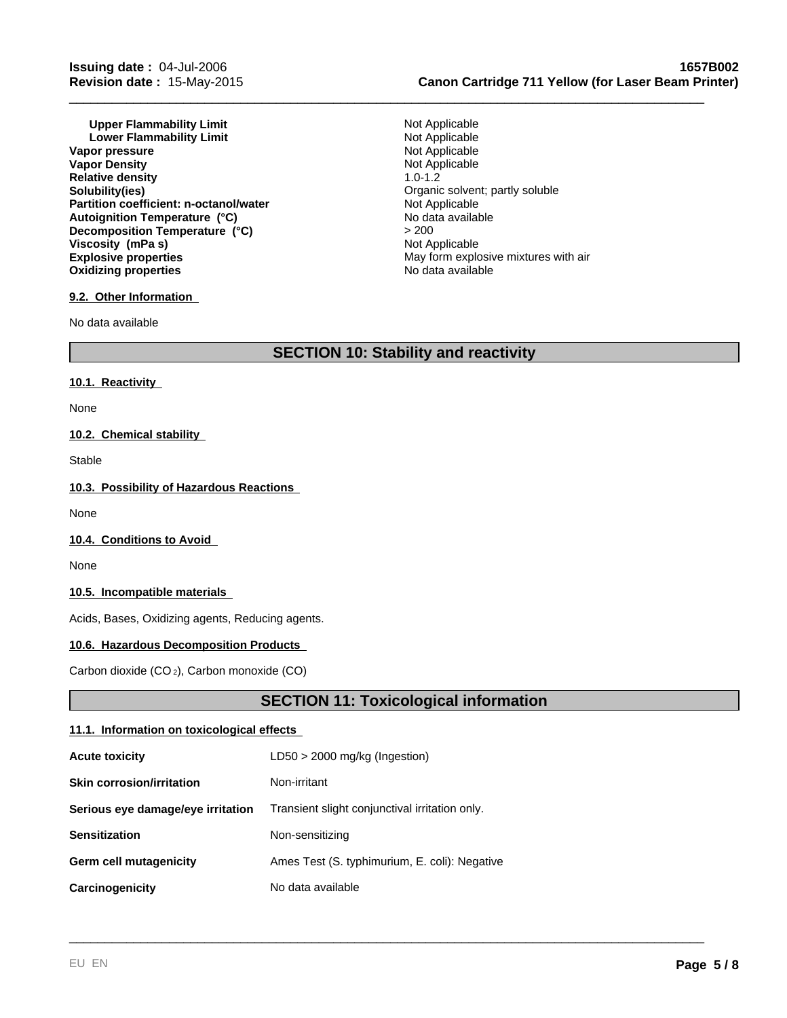**Upper Flammability Limit**<br> **Lower Flammability Limit**<br> **Lower Flammability Limit Lower Flammability Limit Community Community Limit** Not Applicable Not Applicable **Vapor pressure** The Contract of the Contract of Applicable<br> **Vapor Density** Not Applicable<br>
Not Applicable **Vapor Density** Not Applicable Not Applicable Not Applicable Not Applicable Not Applicable Not Applicable Not Applicable Not Applicable Not Applicable Not Applicable Not Applicable Not Applicable Not Applicable Not Applica **Relative density**<br>Solubility(ies) Partition coefficient: n-octanol/water **Explosive properties Explosive properties** May form explosive mixtures with air **Oxidizing properties No data available No data available Autoignition Temperature (°C)** No data available **Decomposition Temperature (°C) Viscosity (mPa s)** Not Applicable

# **9.2. Other Information**

No data available

# **Issuing date :** 04-Jul-2006 **1657B002 Revision date :** 15-May-2015 **Canon Cartridge 711 Yellow (for Laser Beam Printer)**

Organic solvent; partly soluble<br>Not Applicable > 200

\_\_\_\_\_\_\_\_\_\_\_\_\_\_\_\_\_\_\_\_\_\_\_\_\_\_\_\_\_\_\_\_\_\_\_\_\_\_\_\_\_\_\_\_\_\_\_\_\_\_\_\_\_\_\_\_\_\_\_\_\_\_\_\_\_\_\_\_\_\_\_\_\_\_\_\_\_\_\_\_\_\_\_\_\_\_\_\_\_

# **SECTION 10: Stability and reactivity**

# **10.1. Reactivity**

None

# **10.2. Chemical stability**

Stable

# **10.3. Possibility of Hazardous Reactions**

None

# **10.4. Conditions to Avoid**

None

# **10.5. Incompatible materials**

Acids, Bases, Oxidizing agents, Reducing agents.

# **10.6. Hazardous Decomposition Products**

Carbon dioxide (CO 2), Carbon monoxide (CO)

# **SECTION 11: Toxicological information**

# **11.1. Information on toxicological effects**

| <b>Acute toxicity</b>             | $LD50 > 2000$ mg/kg (Ingestion)                |
|-----------------------------------|------------------------------------------------|
| <b>Skin corrosion/irritation</b>  | Non-irritant                                   |
| Serious eye damage/eye irritation | Transient slight conjunctival irritation only. |
| <b>Sensitization</b>              | Non-sensitizing                                |
| <b>Germ cell mutagenicity</b>     | Ames Test (S. typhimurium, E. coli): Negative  |
| Carcinogenicity                   | No data available                              |
|                                   |                                                |
|                                   |                                                |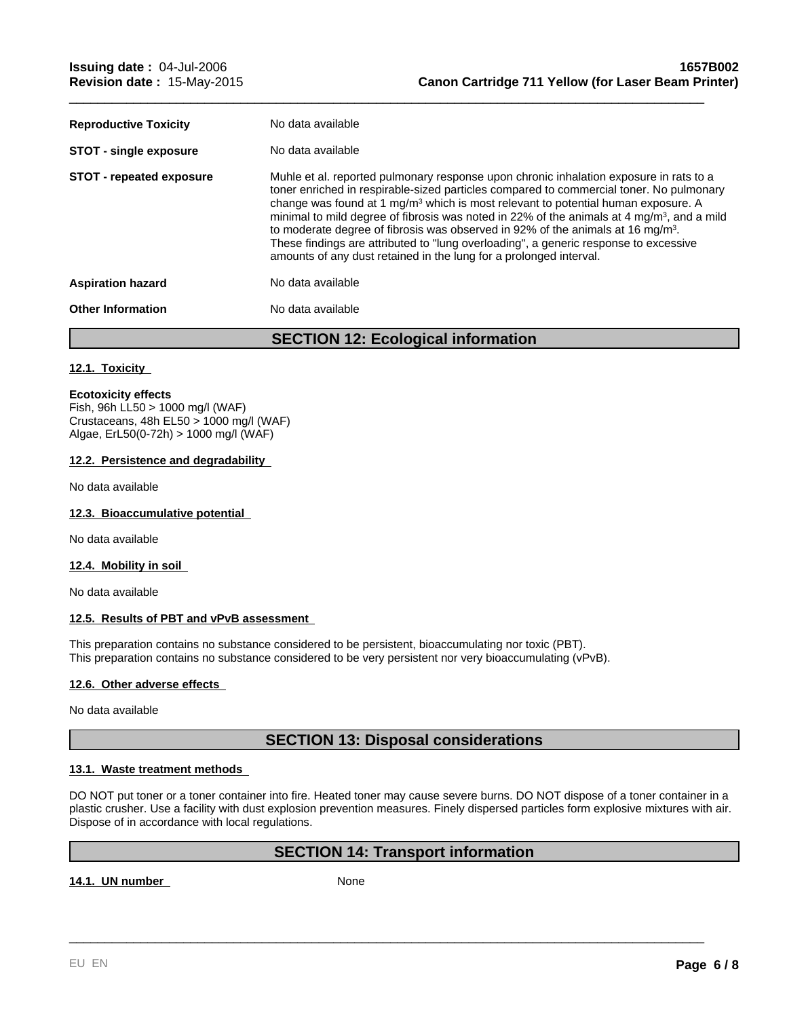| <b>Reproductive Toxicity</b>    | No data available                                                                                                                                                                                                                                                                                                                                                                                                                                                                                                                                                                                                                                         |
|---------------------------------|-----------------------------------------------------------------------------------------------------------------------------------------------------------------------------------------------------------------------------------------------------------------------------------------------------------------------------------------------------------------------------------------------------------------------------------------------------------------------------------------------------------------------------------------------------------------------------------------------------------------------------------------------------------|
| <b>STOT - single exposure</b>   | No data available                                                                                                                                                                                                                                                                                                                                                                                                                                                                                                                                                                                                                                         |
| <b>STOT - repeated exposure</b> | Muhle et al. reported pulmonary response upon chronic inhalation exposure in rats to a<br>toner enriched in respirable-sized particles compared to commercial toner. No pulmonary<br>change was found at 1 mg/m <sup>3</sup> which is most relevant to potential human exposure. A<br>minimal to mild degree of fibrosis was noted in 22% of the animals at 4 mg/m <sup>3</sup> , and a mild<br>to moderate degree of fibrosis was observed in 92% of the animals at 16 mg/m <sup>3</sup> .<br>These findings are attributed to "lung overloading", a generic response to excessive<br>amounts of any dust retained in the lung for a prolonged interval. |
| <b>Aspiration hazard</b>        | No data available                                                                                                                                                                                                                                                                                                                                                                                                                                                                                                                                                                                                                                         |
| <b>Other Information</b>        | No data available                                                                                                                                                                                                                                                                                                                                                                                                                                                                                                                                                                                                                                         |
|                                 |                                                                                                                                                                                                                                                                                                                                                                                                                                                                                                                                                                                                                                                           |

\_\_\_\_\_\_\_\_\_\_\_\_\_\_\_\_\_\_\_\_\_\_\_\_\_\_\_\_\_\_\_\_\_\_\_\_\_\_\_\_\_\_\_\_\_\_\_\_\_\_\_\_\_\_\_\_\_\_\_\_\_\_\_\_\_\_\_\_\_\_\_\_\_\_\_\_\_\_\_\_\_\_\_\_\_\_\_\_\_

**SECTION 12: Ecological information**

# **12.1. Toxicity**

#### **Ecotoxicity effects**

Fish, 96h LL50 > 1000 mg/l (WAF) Crustaceans, 48h EL50 > 1000 mg/l (WAF) Algae, ErL50(0-72h) > 1000 mg/l (WAF)

# **12.2. Persistence and degradability**

No data available

# **12.3. Bioaccumulative potential**

No data available

# **12.4. Mobility in soil**

No data available

# **12.5. Results of PBT and vPvB assessment**

This preparation contains no substance considered to be persistent, bioaccumulating nor toxic (PBT). This preparation contains no substance considered to be very persistent nor very bioaccumulating (vPvB).

# **12.6. Other adverse effects**

No data available

# **SECTION 13: Disposal considerations**

#### **13.1. Waste treatment methods**

DO NOT put toner or a toner container into fire. Heated toner may cause severe burns. DO NOT dispose of a toner container in a plastic crusher. Use a facility with dust explosion prevention measures. Finely dispersed particles form explosive mixtures with air. Dispose of in accordance with local regulations.

# **SECTION 14: Transport information**

\_\_\_\_\_\_\_\_\_\_\_\_\_\_\_\_\_\_\_\_\_\_\_\_\_\_\_\_\_\_\_\_\_\_\_\_\_\_\_\_\_\_\_\_\_\_\_\_\_\_\_\_\_\_\_\_\_\_\_\_\_\_\_\_\_\_\_\_\_\_\_\_\_\_\_\_\_\_\_\_\_\_\_\_\_\_\_\_\_

14.1. UN number None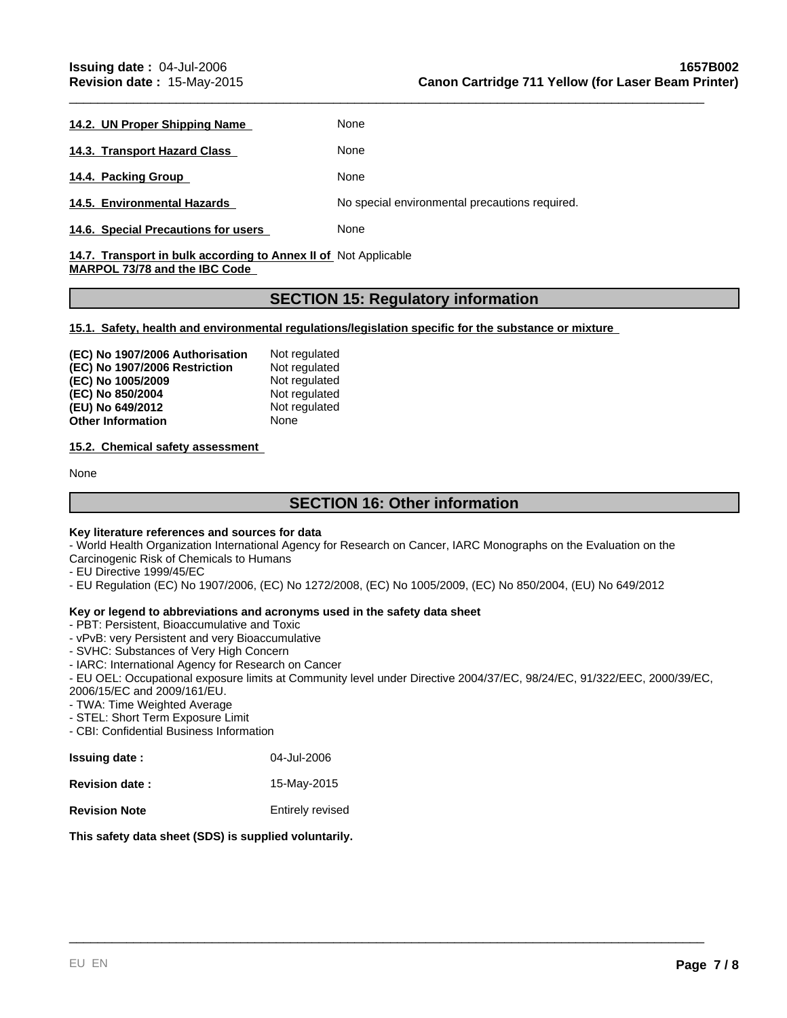- **14.2. UN Proper Shipping Name None**
- **14.3. Transport Hazard Class None**

14.4. Packing Group **None** None

**14.5. Environmental Hazards** No special environmental precautions required.

**14.6. Special Precautions for users** None

# 14.7. Transport in bulk according to Annex II of Not Applicable **MARPOL 73/78 and the IBC Code**

# **SECTION 15: Regulatory information**

\_\_\_\_\_\_\_\_\_\_\_\_\_\_\_\_\_\_\_\_\_\_\_\_\_\_\_\_\_\_\_\_\_\_\_\_\_\_\_\_\_\_\_\_\_\_\_\_\_\_\_\_\_\_\_\_\_\_\_\_\_\_\_\_\_\_\_\_\_\_\_\_\_\_\_\_\_\_\_\_\_\_\_\_\_\_\_\_\_

**15.1. Safety, health and environmental regulations/legislation specific for the substance or mixture** 

| (EC) No 1907/2006 Authorisation | Not regulated |
|---------------------------------|---------------|
| (EC) No 1907/2006 Restriction   | Not regulated |
| (EC) No 1005/2009               | Not regulated |
| (EC) No 850/2004                | Not regulated |
| (EU) No 649/2012                | Not regulated |
| <b>Other Information</b>        | None          |

# **15.2. Chemical safety assessment**

None

# **SECTION 16: Other information**

# **Key literature references and sources for data**

- World Health Organization International Agency for Research on Cancer, IARC Monographs on the Evaluation on the Carcinogenic Risk of Chemicals to Humans

- EU Directive 1999/45/EC

- EU Regulation (EC) No 1907/2006, (EC) No 1272/2008, (EC) No 1005/2009, (EC) No 850/2004, (EU) No 649/2012

# **Key or legend to abbreviations and acronyms used in the safety data sheet**

- PBT: Persistent, Bioaccumulative and Toxic
- vPvB: very Persistent and very Bioaccumulative
- SVHC: Substances of Very High Concern
- IARC: International Agency for Research on Cancer

- EU OEL: Occupational exposure limits at Community level under Directive 2004/37/EC, 98/24/EC, 91/322/EEC, 2000/39/EC, 2006/15/EC and 2009/161/EU.

\_\_\_\_\_\_\_\_\_\_\_\_\_\_\_\_\_\_\_\_\_\_\_\_\_\_\_\_\_\_\_\_\_\_\_\_\_\_\_\_\_\_\_\_\_\_\_\_\_\_\_\_\_\_\_\_\_\_\_\_\_\_\_\_\_\_\_\_\_\_\_\_\_\_\_\_\_\_\_\_\_\_\_\_\_\_\_\_\_

- TWA: Time Weighted Average

- STEL: Short Term Exposure Limit

- CBI: Confidential Business Information

| <b>Issuing date:</b>  | 04-Jul-2006      |
|-----------------------|------------------|
| <b>Revision date:</b> | 15-May-2015      |
| <b>Revision Note</b>  | Entirely revised |

# **This safety data sheet (SDS) is supplied voluntarily.**